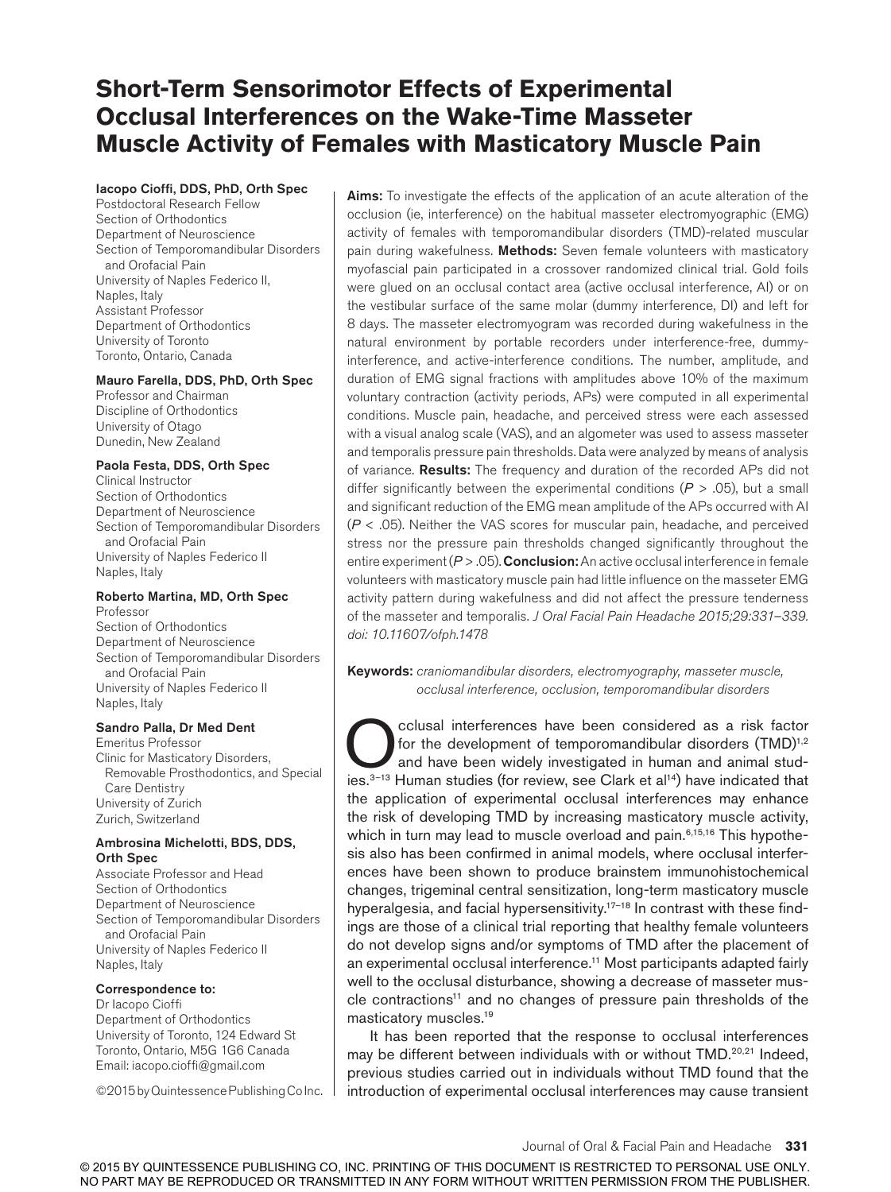# **Short-Term Sensorimotor Effects of Experimental Occlusal Interferences on the Wake-Time Masseter Muscle Activity of Females with Masticatory Muscle Pain**

## Iacopo Cioffi, DDS, PhD, Orth Spec

Postdoctoral Research Fellow Section of Orthodontics Department of Neuroscience Section of Temporomandibular Disorders and Orofacial Pain University of Naples Federico II, Naples, Italy Assistant Professor Department of Orthodontics University of Toronto Toronto, Ontario, Canada

#### Mauro Farella, DDS, PhD, Orth Spec

Professor and Chairman Discipline of Orthodontics University of Otago Dunedin, New Zealand

#### Paola Festa, DDS, Orth Spec

Clinical Instructor Section of Orthodontics Department of Neuroscience Section of Temporomandibular Disorders and Orofacial Pain University of Naples Federico II Naples, Italy

#### Roberto Martina, MD, Orth Spec Professor

Section of Orthodontics Department of Neuroscience Section of Temporomandibular Disorders and Orofacial Pain University of Naples Federico II Naples, Italy

## Sandro Palla, Dr Med Dent

Emeritus Professor Clinic for Masticatory Disorders, Removable Prosthodontics, and Special Care Dentistry University of Zurich Zurich, Switzerland

#### Ambrosina Michelotti, BDS, DDS, Orth Spec

Associate Professor and Head Section of Orthodontics Department of Neuroscience Section of Temporomandibular Disorders and Orofacial Pain University of Naples Federico II Naples, Italy

#### Correspondence to:

Dr Iacopo Cioffi Department of Orthodontics University of Toronto, 124 Edward St Toronto, Ontario, M5G 1G6 Canada Email: iacopo.cioffi@gmail.com

©2015 by Quintessence Publishing Co Inc.

Aims: To investigate the effects of the application of an acute alteration of the occlusion (ie, interference) on the habitual masseter electromyographic (EMG) activity of females with temporomandibular disorders (TMD)-related muscular pain during wakefulness. Methods: Seven female volunteers with masticatory myofascial pain participated in a crossover randomized clinical trial. Gold foils were glued on an occlusal contact area (active occlusal interference, AI) or on the vestibular surface of the same molar (dummy interference, DI) and left for 8 days. The masseter electromyogram was recorded during wakefulness in the natural environment by portable recorders under interference-free, dummyinterference, and active-interference conditions. The number, amplitude, and duration of EMG signal fractions with amplitudes above 10% of the maximum voluntary contraction (activity periods, APs) were computed in all experimental conditions. Muscle pain, headache, and perceived stress were each assessed with a visual analog scale (VAS), and an algometer was used to assess masseter and temporalis pressure pain thresholds. Data were analyzed by means of analysis of variance. Results: The frequency and duration of the recorded APs did not differ significantly between the experimental conditions (*P* > .05), but a small and significant reduction of the EMG mean amplitude of the APs occurred with AI (*P* < .05). Neither the VAS scores for muscular pain, headache, and perceived stress nor the pressure pain thresholds changed significantly throughout the entire experiment ( $P > .05$ ). **Conclusion:** An active occlusal interference in female volunteers with masticatory muscle pain had little influence on the masseter EMG activity pattern during wakefulness and did not affect the pressure tenderness of the masseter and temporalis. *J Oral Facial Pain Headache 2015;29:331–339. doi: 10.11607/ofph.1478* 

Keywords: *craniomandibular disorders, electromyography, masseter muscle, occlusal interference, occlusion, temporomandibular disorders* 

Colusal interferences have been considered as a risk factor<br>for the development of temporomandibular disorders (TMD)<sup>1,2</sup><br>and have been widely investigated in human and animal stud-<br>ion<sup>3-13</sup> Human atudies (for review, ass for the development of temporomandibular disorders  $(\text{TMD})^{1,2}$ and have been widely investigated in human and animal studies.<sup>3-13</sup> Human studies (for review, see Clark et al<sup>14</sup>) have indicated that the application of experimental occlusal interferences may enhance the risk of developing TMD by increasing masticatory muscle activity, which in turn may lead to muscle overload and pain.<sup>6,15,16</sup> This hypothesis also has been confirmed in animal models, where occlusal interferences have been shown to produce brainstem immunohistochemical changes, trigeminal central sensitization, long-term masticatory muscle hyperalgesia, and facial hypersensitivity.<sup>17-18</sup> In contrast with these findings are those of a clinical trial reporting that healthy female volunteers do not develop signs and/or symptoms of TMD after the placement of an experimental occlusal interference.<sup>11</sup> Most participants adapted fairly well to the occlusal disturbance, showing a decrease of masseter muscle contractions<sup>11</sup> and no changes of pressure pain thresholds of the masticatory muscles.19

It has been reported that the response to occlusal interferences may be different between individuals with or without TMD.<sup>20,21</sup> Indeed, previous studies carried out in individuals without TMD found that the introduction of experimental occlusal interferences may cause transient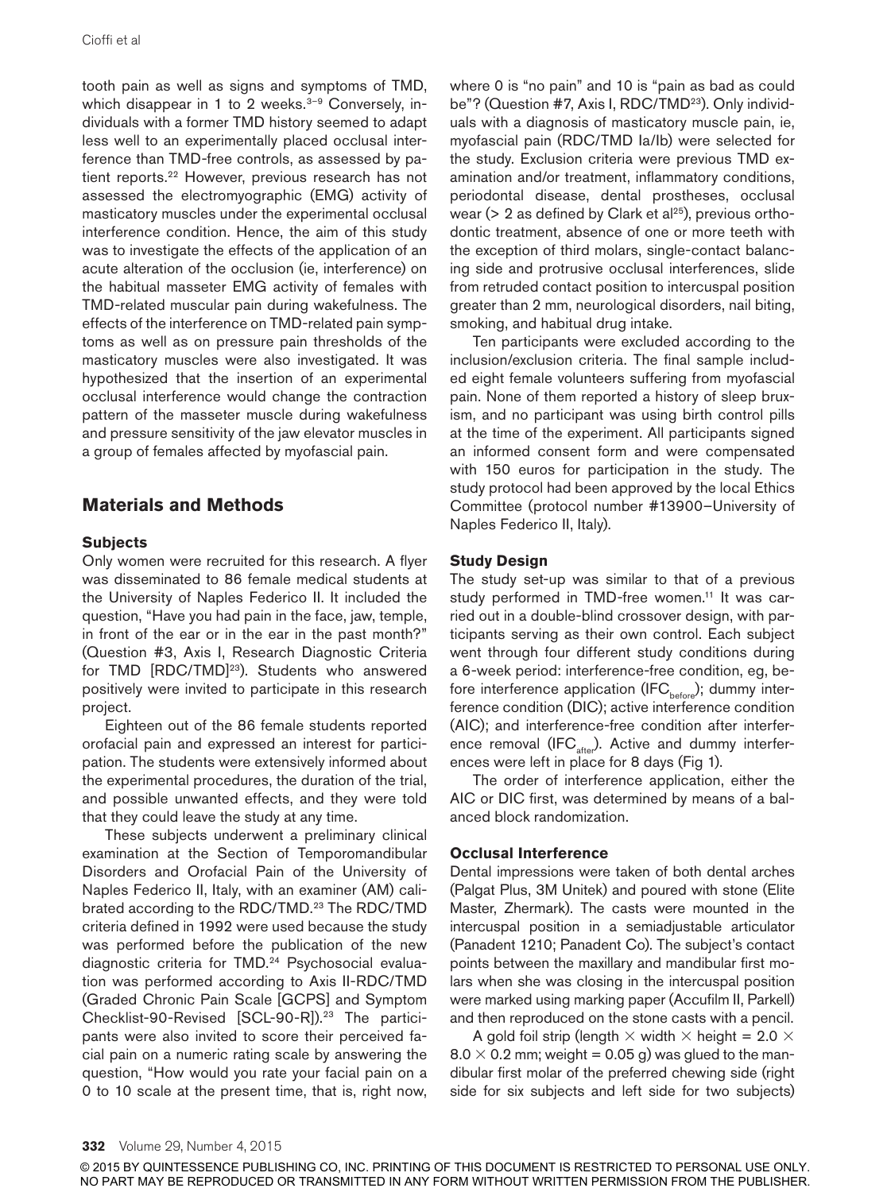tooth pain as well as signs and symptoms of TMD, which disappear in 1 to 2 weeks.<sup>3-9</sup> Conversely, individuals with a former TMD history seemed to adapt less well to an experimentally placed occlusal interference than TMD-free controls, as assessed by patient reports.22 However, previous research has not assessed the electromyographic (EMG) activity of masticatory muscles under the experimental occlusal interference condition. Hence, the aim of this study was to investigate the effects of the application of an acute alteration of the occlusion (ie, interference) on the habitual masseter EMG activity of females with TMD-related muscular pain during wakefulness. The effects of the interference on TMD-related pain symptoms as well as on pressure pain thresholds of the masticatory muscles were also investigated. It was hypothesized that the insertion of an experimental occlusal interference would change the contraction pattern of the masseter muscle during wakefulness and pressure sensitivity of the jaw elevator muscles in a group of females affected by myofascial pain.

## **Materials and Methods**

## **Subjects**

Only women were recruited for this research. A flyer was disseminated to 86 female medical students at the University of Naples Federico II. It included the question, "Have you had pain in the face, jaw, temple, in front of the ear or in the ear in the past month?" (Question #3, Axis I, Research Diagnostic Criteria for TMD [RDC/TMD]<sup>23</sup>). Students who answered positively were invited to participate in this research project.

Eighteen out of the 86 female students reported orofacial pain and expressed an interest for participation. The students were extensively informed about the experimental procedures, the duration of the trial, and possible unwanted effects, and they were told that they could leave the study at any time.

These subjects underwent a preliminary clinical examination at the Section of Temporomandibular Disorders and Orofacial Pain of the University of Naples Federico II, Italy, with an examiner (AM) calibrated according to the RDC/TMD.<sup>23</sup> The RDC/TMD criteria defined in 1992 were used because the study was performed before the publication of the new diagnostic criteria for TMD.<sup>24</sup> Psychosocial evaluation was performed according to Axis II-RDC/TMD (Graded Chronic Pain Scale [GCPS] and Symptom Checklist-90-Revised [SCL-90-R]).<sup>23</sup> The participants were also invited to score their perceived facial pain on a numeric rating scale by answering the question, "How would you rate your facial pain on a 0 to 10 scale at the present time, that is, right now, where 0 is "no pain" and 10 is "pain as bad as could be"? (Question #7, Axis I, RDC/TMD<sup>23</sup>). Only individuals with a diagnosis of masticatory muscle pain, ie, myofascial pain (RDC/TMD Ia/Ib) were selected for the study. Exclusion criteria were previous TMD examination and/or treatment, inflammatory conditions, periodontal disease, dental prostheses, occlusal wear ( $> 2$  as defined by Clark et al<sup>25</sup>), previous orthodontic treatment, absence of one or more teeth with the exception of third molars, single-contact balancing side and protrusive occlusal interferences, slide from retruded contact position to intercuspal position greater than 2 mm, neurological disorders, nail biting, smoking, and habitual drug intake.

Ten participants were excluded according to the inclusion/exclusion criteria. The final sample included eight female volunteers suffering from myofascial pain. None of them reported a history of sleep bruxism, and no participant was using birth control pills at the time of the experiment. All participants signed an informed consent form and were compensated with 150 euros for participation in the study. The study protocol had been approved by the local Ethics Committee (protocol number #13900–University of Naples Federico II, Italy).

## **Study Design**

The study set-up was similar to that of a previous study performed in TMD-free women.<sup>11</sup> It was carried out in a double-blind crossover design, with participants serving as their own control. Each subject went through four different study conditions during a 6-week period: interference-free condition, eg, before interference application (IFC $_{\text{before}}$ ); dummy interference condition (DIC); active interference condition (AIC); and interference-free condition after interference removal (IFC $_{\text{at}p}$ ). Active and dummy interferences were left in place for 8 days (Fig 1).

The order of interference application, either the AIC or DIC first, was determined by means of a balanced block randomization.

## **Occlusal Interference**

Dental impressions were taken of both dental arches (Palgat Plus, 3M Unitek) and poured with stone (Elite Master, Zhermark). The casts were mounted in the intercuspal position in a semiadjustable articulator (Panadent 1210; Panadent Co). The subject's contact points between the maxillary and mandibular first molars when she was closing in the intercuspal position were marked using marking paper (Accufilm II, Parkell) and then reproduced on the stone casts with a pencil.

A gold foil strip (length  $\times$  width  $\times$  height = 2.0  $\times$  $8.0 \times 0.2$  mm; weight = 0.05 g) was glued to the mandibular first molar of the preferred chewing side (right side for six subjects and left side for two subjects)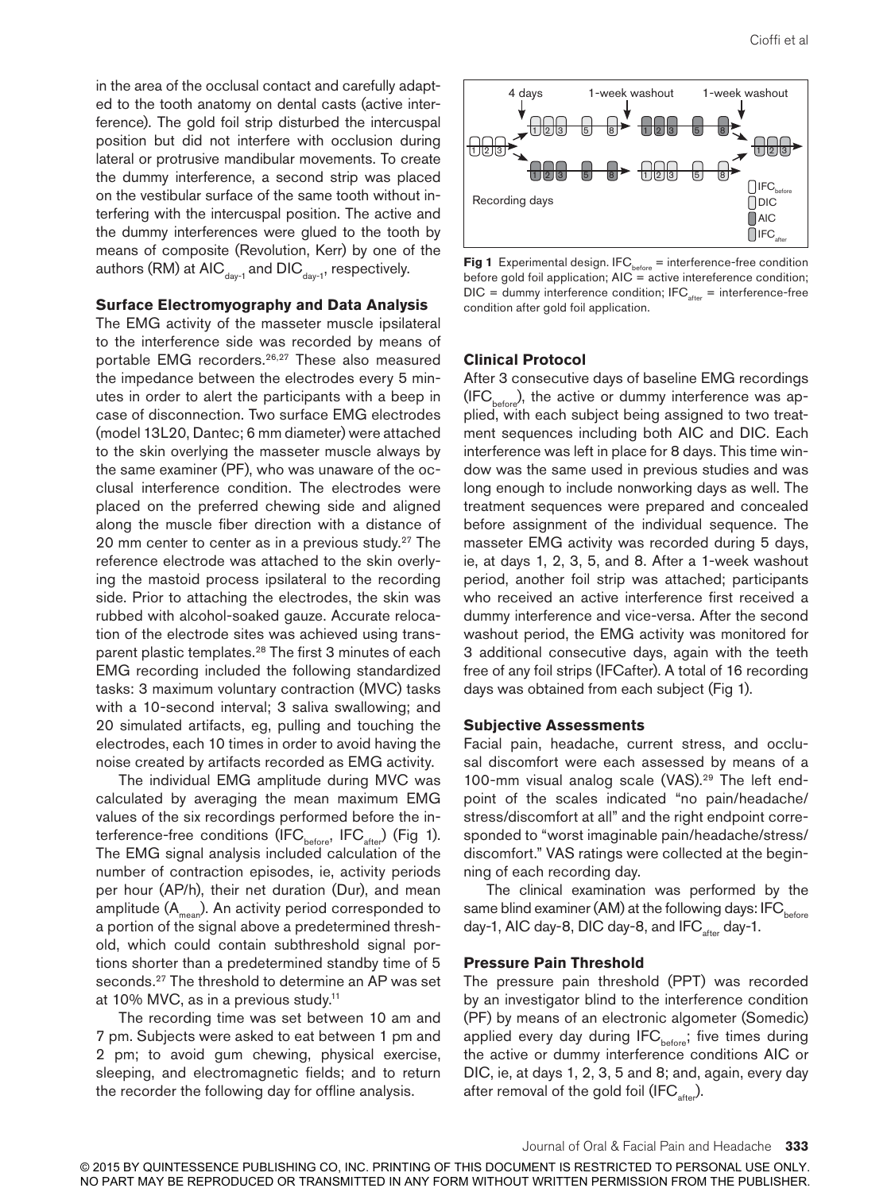in the area of the occlusal contact and carefully adapted to the tooth anatomy on dental casts (active interference). The gold foil strip disturbed the intercuspal position but did not interfere with occlusion during lateral or protrusive mandibular movements. To create the dummy interference, a second strip was placed on the vestibular surface of the same tooth without interfering with the intercuspal position. The active and the dummy interferences were glued to the tooth by means of composite (Revolution, Kerr) by one of the authors (RM) at AIC $_{\text{day-1}}$  and DIC $_{\text{day-1}}$ , respectively.

#### **Surface Electromyography and Data Analysis**

The EMG activity of the masseter muscle ipsilateral to the interference side was recorded by means of portable EMG recorders.26,27 These also measured the impedance between the electrodes every 5 minutes in order to alert the participants with a beep in case of disconnection. Two surface EMG electrodes (model 13L20, Dantec; 6 mm diameter) were attached to the skin overlying the masseter muscle always by the same examiner (PF), who was unaware of the occlusal interference condition. The electrodes were placed on the preferred chewing side and aligned along the muscle fiber direction with a distance of 20 mm center to center as in a previous study.<sup>27</sup> The reference electrode was attached to the skin overlying the mastoid process ipsilateral to the recording side. Prior to attaching the electrodes, the skin was rubbed with alcohol-soaked gauze. Accurate relocation of the electrode sites was achieved using transparent plastic templates.<sup>28</sup> The first 3 minutes of each EMG recording included the following standardized tasks: 3 maximum voluntary contraction (MVC) tasks with a 10-second interval; 3 saliva swallowing; and 20 simulated artifacts, eg, pulling and touching the electrodes, each 10 times in order to avoid having the noise created by artifacts recorded as EMG activity.

The individual EMG amplitude during MVC was calculated by averaging the mean maximum EMG values of the six recordings performed before the interference-free conditions (IFC $_{before}$ , IFC $_{after}$ ) (Fig 1). The EMG signal analysis included calculation of the number of contraction episodes, ie, activity periods per hour (AP/h), their net duration (Dur), and mean amplitude  $(A<sub>mean</sub>)$ . An activity period corresponded to a portion of the signal above a predetermined threshold, which could contain subthreshold signal portions shorter than a predetermined standby time of 5 seconds.27 The threshold to determine an AP was set at 10% MVC, as in a previous study.11

The recording time was set between 10 am and 7 pm. Subjects were asked to eat between 1 pm and 2 pm; to avoid gum chewing, physical exercise, sleeping, and electromagnetic fields; and to return the recorder the following day for offline analysis.



**Fig 1** Experimental design. IFC $_{\text{before}}$  = interference-free condition before gold foil application;  $AIC =$  active intereference condition;  $DIC =$  dummy interference condition; IFC<sub>after</sub> = interference-free condition after gold foil application.

#### **Clinical Protocol**

After 3 consecutive days of baseline EMG recordings  $(IFC_{before}$ , the active or dummy interference was applied, with each subject being assigned to two treatment sequences including both AIC and DIC. Each interference was left in place for 8 days. This time window was the same used in previous studies and was long enough to include nonworking days as well. The treatment sequences were prepared and concealed before assignment of the individual sequence. The masseter EMG activity was recorded during 5 days, ie, at days 1, 2, 3, 5, and 8. After a 1-week washout period, another foil strip was attached; participants who received an active interference first received a dummy interference and vice-versa. After the second washout period, the EMG activity was monitored for 3 additional consecutive days, again with the teeth free of any foil strips (IFCafter). A total of 16 recording days was obtained from each subject (Fig 1).

#### **Subjective Assessments**

Facial pain, headache, current stress, and occlusal discomfort were each assessed by means of a 100-mm visual analog scale (VAS).<sup>29</sup> The left endpoint of the scales indicated "no pain/headache/ stress/discomfort at all" and the right endpoint corresponded to "worst imaginable pain/headache/stress/ discomfort." VAS ratings were collected at the beginning of each recording day.

The clinical examination was performed by the same blind examiner (AM) at the following days:  $\overline{IC}_{before}$ day-1, AIC day-8, DIC day-8, and  $IFC_{after}$  day-1.

#### **Pressure Pain Threshold**

The pressure pain threshold (PPT) was recorded by an investigator blind to the interference condition (PF) by means of an electronic algometer (Somedic) applied every day during IFC $_{\text{before}}$ ; five times during the active or dummy interference conditions AIC or DIC, ie, at days 1, 2, 3, 5 and 8; and, again, every day after removal of the gold foil (IFC<sub>after</sub>).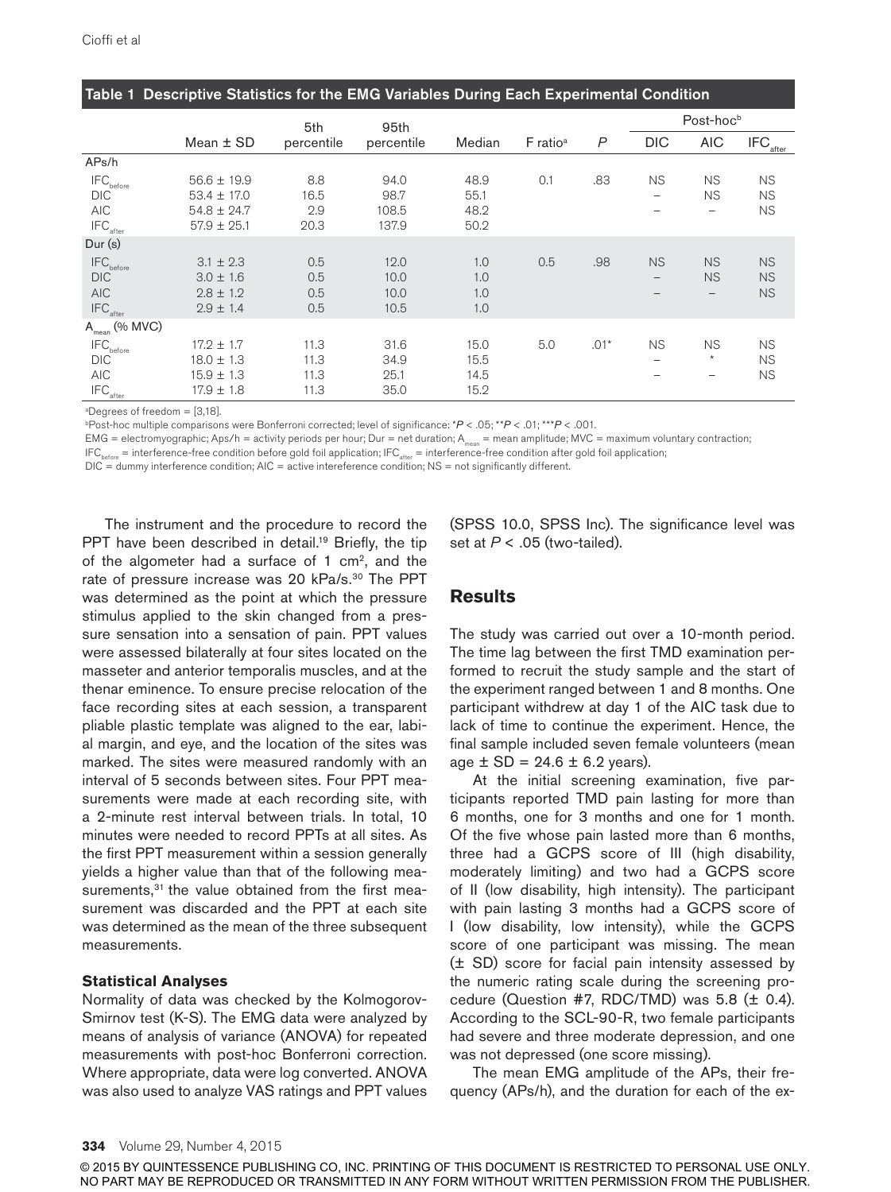|                                                                                                 |                                                                          | 5th                          | 95th                           |                              |                                     |              | Post-hoc <sup>b</sup>          |                                             |                                     |
|-------------------------------------------------------------------------------------------------|--------------------------------------------------------------------------|------------------------------|--------------------------------|------------------------------|-------------------------------------|--------------|--------------------------------|---------------------------------------------|-------------------------------------|
|                                                                                                 | Mean ± SD                                                                | percentile                   | percentile                     | Median                       | $F$ ratio <sup><math>a</math></sup> | $\mathcal P$ | <b>DIC</b>                     | <b>AIC</b>                                  | $\mathsf{IFC}_{\sf after}$          |
| AP <sub>s</sub> /h                                                                              |                                                                          |                              |                                |                              |                                     |              |                                |                                             |                                     |
| $\mathsf{IFC}_{\mathsf{before}}$<br><b>DIC</b><br><b>AIC</b><br>$\mathsf{IFC}_{\sf after}$      | $56.6 \pm 19.9$<br>$53.4 \pm 17.0$<br>$54.8 \pm 24.7$<br>$57.9 \pm 25.1$ | 8.8<br>16.5<br>2.9<br>20.3   | 94.0<br>98.7<br>108.5<br>137.9 | 48.9<br>55.1<br>48.2<br>50.2 | 0.1                                 | .83          | <b>NS</b><br>$\qquad \qquad -$ | <b>NS</b><br><b>NS</b><br>$\qquad \qquad -$ | <b>NS</b><br><b>NS</b><br><b>NS</b> |
| Dur(s)                                                                                          |                                                                          |                              |                                |                              |                                     |              |                                |                                             |                                     |
| $\textsf{IFC}_{\textsf{before}}$<br><b>DIC</b><br><b>AIC</b><br>$\mathsf{IFC}_{\mathsf{after}}$ | $3.1 \pm 2.3$<br>$3.0 \pm 1.6$<br>$2.8 \pm 1.2$<br>$2.9 \pm 1.4$         | 0.5<br>0.5<br>0.5<br>0.5     | 12.0<br>10.0<br>10.0<br>10.5   | 1.0<br>1.0<br>1.0<br>1.0     | 0.5                                 | .98          | <b>NS</b><br>-                 | <b>NS</b><br><b>NS</b>                      | <b>NS</b><br><b>NS</b><br><b>NS</b> |
| $A_{\text{mean}}$ (% MVC)                                                                       |                                                                          |                              |                                |                              |                                     |              |                                |                                             |                                     |
| $\mathsf{IFC}_{\mathsf{before}}$<br><b>DIC</b><br><b>AIC</b><br>$\mathsf{IFC}_{\mathsf{after}}$ | $17.2 \pm 1.7$<br>$18.0 \pm 1.3$<br>$15.9 \pm 1.3$<br>$17.9 \pm 1.8$     | 11.3<br>11.3<br>11.3<br>11.3 | 31.6<br>34.9<br>25.1<br>35.0   | 15.0<br>15.5<br>14.5<br>15.2 | 5.0                                 | $.01*$       | <b>NS</b><br>-                 | <b>NS</b><br>$^\star$<br>-                  | <b>NS</b><br><b>NS</b><br><b>NS</b> |

Table 1 Descriptive Statistics for the EMG Variables During Each Experimental Condition

a Degrees of freedom = [3,18].

b Post-hoc multiple comparisons were Bonferroni corrected; level of significance: \**P* < .05; \*\**P* < .01; \*\*\**P* < .001.

EMG = electromyographic; Aps/h = activity periods per hour; Dur = net duration; A<sub>mean</sub> = mean amplitude; MVC = maximum voluntary contraction;

 $I_{\text{other}}$  = interference-free condition before gold foil application; IFC  $_{\text{after}}$  = interference-free condition after gold foil application;

DIC = dummy interference condition; AIC = active intereference condition; NS = not significantly different.

The instrument and the procedure to record the PPT have been described in detail.<sup>19</sup> Briefly, the tip of the algometer had a surface of  $1 \text{ cm}^2$ , and the rate of pressure increase was 20 kPa/s.<sup>30</sup> The PPT was determined as the point at which the pressure stimulus applied to the skin changed from a pressure sensation into a sensation of pain. PPT values were assessed bilaterally at four sites located on the masseter and anterior temporalis muscles, and at the thenar eminence. To ensure precise relocation of the face recording sites at each session, a transparent pliable plastic template was aligned to the ear, labial margin, and eye, and the location of the sites was marked. The sites were measured randomly with an interval of 5 seconds between sites. Four PPT measurements were made at each recording site, with a 2-minute rest interval between trials. In total, 10 minutes were needed to record PPTs at all sites. As the first PPT measurement within a session generally yields a higher value than that of the following measurements,<sup>31</sup> the value obtained from the first measurement was discarded and the PPT at each site was determined as the mean of the three subsequent measurements.

## **Statistical Analyses**

Normality of data was checked by the Kolmogorov-Smirnov test (K-S). The EMG data were analyzed by means of analysis of variance (ANOVA) for repeated measurements with post-hoc Bonferroni correction. Where appropriate, data were log converted. ANOVA was also used to analyze VAS ratings and PPT values

(SPSS 10.0, SPSS Inc). The significance level was set at  $P < .05$  (two-tailed).

## **Results**

The study was carried out over a 10-month period. The time lag between the first TMD examination performed to recruit the study sample and the start of the experiment ranged between 1 and 8 months. One participant withdrew at day 1 of the AIC task due to lack of time to continue the experiment. Hence, the final sample included seven female volunteers (mean  $age \pm SD = 24.6 \pm 6.2 \text{ years}.$ 

At the initial screening examination, five participants reported TMD pain lasting for more than 6 months, one for 3 months and one for 1 month. Of the five whose pain lasted more than 6 months, three had a GCPS score of III (high disability, moderately limiting) and two had a GCPS score of II (low disability, high intensity). The participant with pain lasting 3 months had a GCPS score of I (low disability, low intensity), while the GCPS score of one participant was missing. The mean (± SD) score for facial pain intensity assessed by the numeric rating scale during the screening procedure (Question #7, RDC/TMD) was  $5.8$  ( $\pm$  0.4). According to the SCL-90-R, two female participants had severe and three moderate depression, and one was not depressed (one score missing).

The mean EMG amplitude of the APs, their frequency (APs/h), and the duration for each of the ex-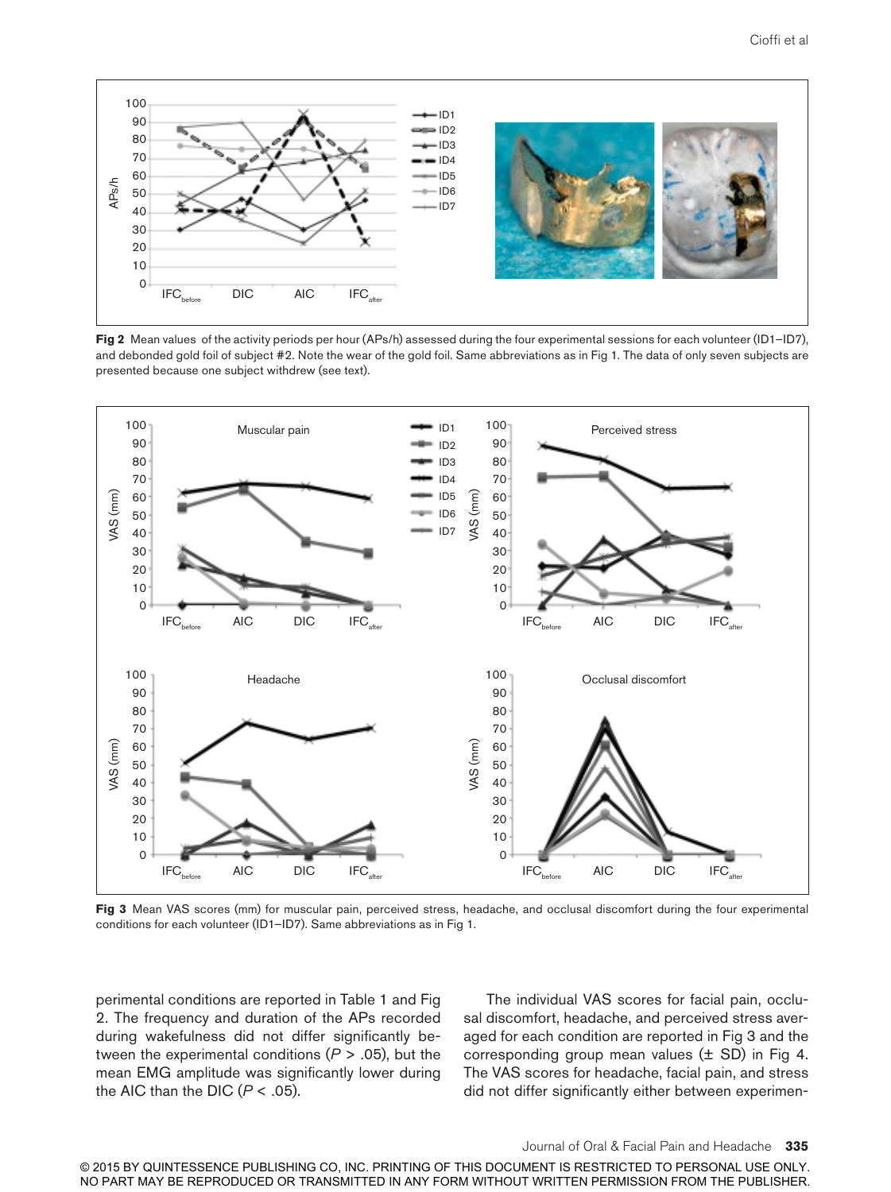

**Fig 2** Mean values of the activity periods per hour (APs/h) assessed during the four experimental sessions for each volunteer (ID1–ID7), and debonded gold foil of subject #2. Note the wear of the gold foil. Same abbreviations as in Fig 1. The data of only seven subjects are presented because one subject withdrew (see text).



**Fig 3** Mean VAS scores (mm) for muscular pain, perceived stress, headache, and occlusal discomfort during the four experimental conditions for each volunteer (ID1–ID7). Same abbreviations as in Fig 1.

perimental conditions are reported in Table 1 and Fig 2. The frequency and duration of the APs recorded during wakefulness did not differ significantly between the experimental conditions  $(P > .05)$ , but the mean EMG amplitude was significantly lower during the AIC than the DIC  $(P < .05)$ .

The individual VAS scores for facial pain, occlusal discomfort, headache, and perceived stress averaged for each condition are reported in Fig 3 and the corresponding group mean values (± SD) in Fig 4. The VAS scores for headache, facial pain, and stress did not differ significantly either between experimen-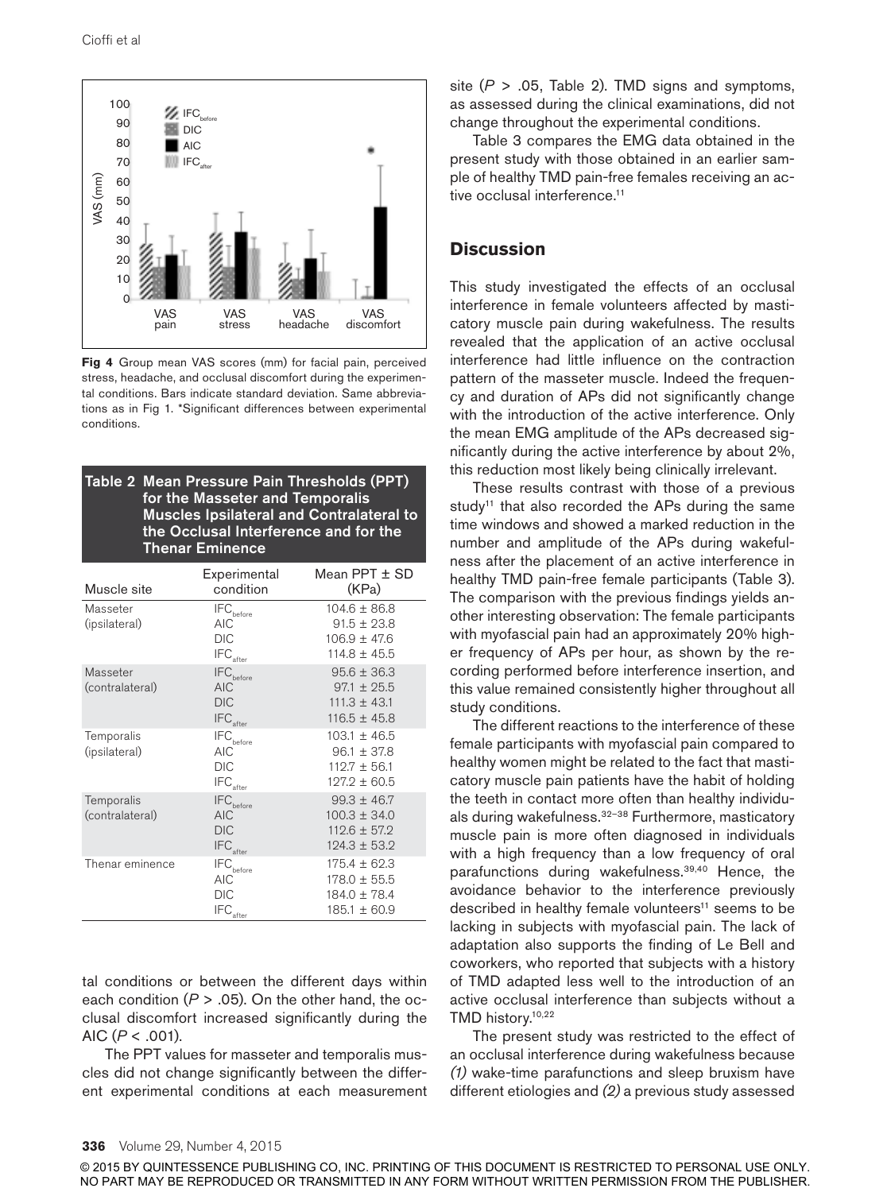

**Fig 4** Group mean VAS scores (mm) for facial pain, perceived stress, headache, and occlusal discomfort during the experimental conditions. Bars indicate standard deviation. Same abbreviations as in Fig 1. \*Significant differences between experimental conditions.

| Table 2 Mean Pressure Pain Thresholds (PPT)<br>for the Masseter and Temporalis<br>Muscles Ipsilateral and Contralateral to<br>the Occlusal Interference and for the<br><b>Thenar Eminence</b> |
|-----------------------------------------------------------------------------------------------------------------------------------------------------------------------------------------------|
|                                                                                                                                                                                               |

| Muscle site     | Experimental<br>condition                      | Mean PPT ± SD<br>(KPa)               |
|-----------------|------------------------------------------------|--------------------------------------|
| Masseter        | $\overline{\textsf{IFC}}_{\textsf{before}}$    | $104.6 \pm 86.8$                     |
| (ipsilateral)   | <b>AIC</b>                                     | $91.5 \pm 23.8$                      |
|                 | <b>DIC</b><br>$\mathsf{IFC}_{\sf after}$       | $106.9 \pm 47.6$<br>$114.8 \pm 45.5$ |
| Masseter        | $\mathsf{IFC}_{\mathsf{before}}$               | $95.6 \pm 36.3$                      |
| (contralateral) | <b>AIC</b>                                     | $97.1 \pm 25.5$                      |
|                 | <b>DIC</b>                                     | $111.3 \pm 43.1$                     |
|                 | $\mathsf{IFC}_{\sf after}$                     | $116.5 \pm 45.8$                     |
| Temporalis      | $\mathsf{IFC}_{\mathsf{before}}$               | $103.1 \pm 46.5$                     |
| (ipsilateral)   | AIC                                            | $96.1 \pm 37.8$                      |
|                 | DIC.                                           | $112.7 \pm 56.1$                     |
|                 | $\mathsf{IFC}_{\sf after}$                     | $127.2 \pm 60.5$                     |
| Temporalis      | $\mathsf{IFC}_{\mathsf{before}}$               | $99.3 \pm 46.7$                      |
| (contralateral) | <b>AIC</b>                                     | $100.3 \pm 34.0$                     |
|                 | <b>DIC</b><br>$\mathsf{IFC}_{\mathsf{after}}$  | $112.6 \pm 57.2$<br>$124.3 \pm 53.2$ |
|                 |                                                |                                      |
| Thenar eminence | $\mathsf{IFC}_{\mathsf{before}}$<br><b>AIC</b> | $175.4 \pm 62.3$<br>$178.0 \pm 55.5$ |
|                 | <b>DIC</b>                                     | $184.0 \pm 78.4$                     |
|                 | $\mathsf{IFC}_{\sf after}$                     | 185.1 ± 60.9                         |
|                 |                                                |                                      |

tal conditions or between the different days within each condition  $(P > .05)$ . On the other hand, the occlusal discomfort increased significantly during the AIC (*P* < .001).

The PPT values for masseter and temporalis muscles did not change significantly between the different experimental conditions at each measurement site  $(P > .05,$  Table 2). TMD signs and symptoms, as assessed during the clinical examinations, did not change throughout the experimental conditions.

Table 3 compares the EMG data obtained in the present study with those obtained in an earlier sample of healthy TMD pain-free females receiving an active occlusal interference.<sup>11</sup>

## **Discussion**

This study investigated the effects of an occlusal interference in female volunteers affected by masticatory muscle pain during wakefulness. The results revealed that the application of an active occlusal interference had little influence on the contraction pattern of the masseter muscle. Indeed the frequency and duration of APs did not significantly change with the introduction of the active interference. Only the mean EMG amplitude of the APs decreased significantly during the active interference by about 2%, this reduction most likely being clinically irrelevant.

These results contrast with those of a previous study<sup>11</sup> that also recorded the APs during the same time windows and showed a marked reduction in the number and amplitude of the APs during wakefulness after the placement of an active interference in healthy TMD pain-free female participants (Table 3). The comparison with the previous findings yields another interesting observation: The female participants with myofascial pain had an approximately 20% higher frequency of APs per hour, as shown by the recording performed before interference insertion, and this value remained consistently higher throughout all study conditions.

The different reactions to the interference of these female participants with myofascial pain compared to healthy women might be related to the fact that masticatory muscle pain patients have the habit of holding the teeth in contact more often than healthy individuals during wakefulness.<sup>32-38</sup> Furthermore, masticatory muscle pain is more often diagnosed in individuals with a high frequency than a low frequency of oral parafunctions during wakefulness.39,40 Hence, the avoidance behavior to the interference previously described in healthy female volunteers<sup>11</sup> seems to be lacking in subjects with myofascial pain. The lack of adaptation also supports the finding of Le Bell and coworkers, who reported that subjects with a history of TMD adapted less well to the introduction of an active occlusal interference than subjects without a TMD history.10,22

The present study was restricted to the effect of an occlusal interference during wakefulness because *(1)* wake-time parafunctions and sleep bruxism have different etiologies and *(2)* a previous study assessed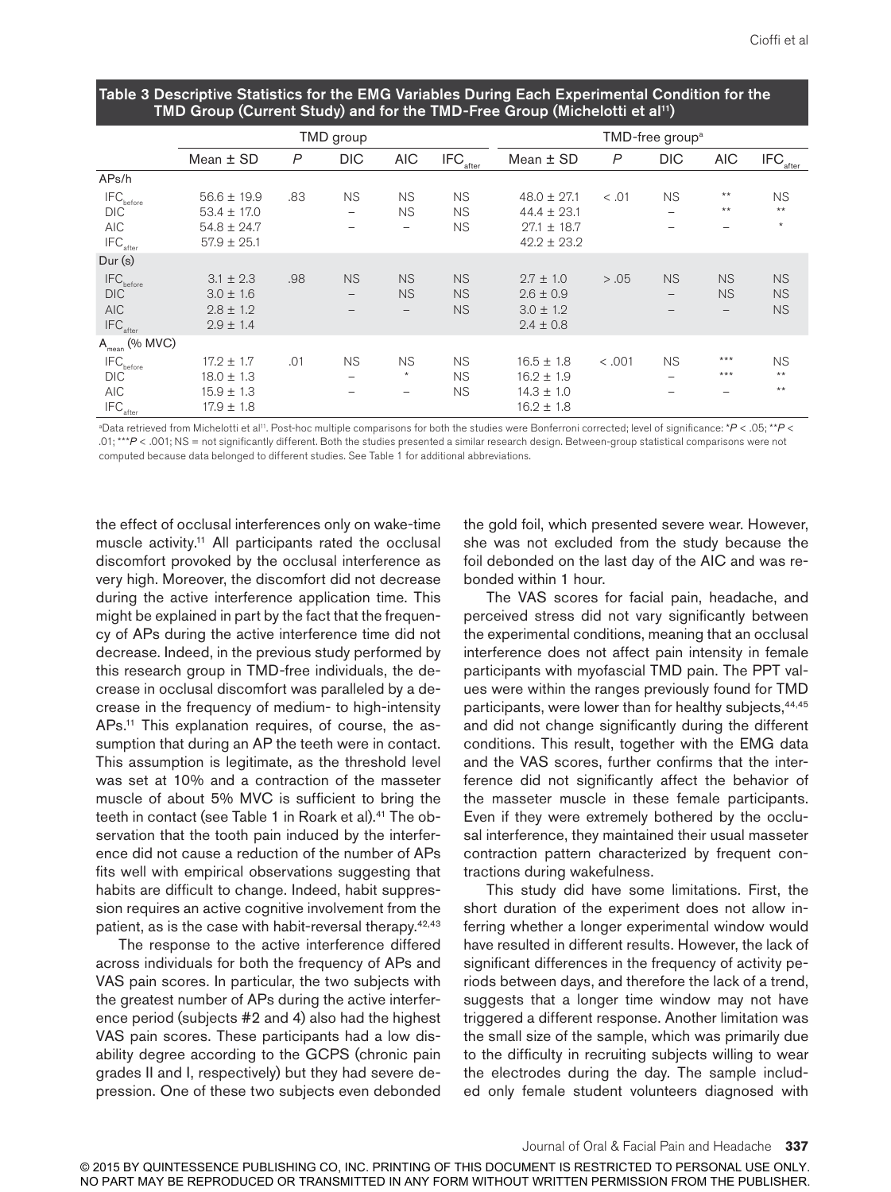Table 3 Descriptive Statistics for the EMG Variables During Each Experimental Condition for the TMD Group (Current Study) and for the TMD-Free Group (Michelotti et al<sup>11</sup>)

|                                                                                                 | TMD group                                                                |     |            |                             | TMD-free group <sup>a</sup>         |                                                                          |               |            |                        |                                               |
|-------------------------------------------------------------------------------------------------|--------------------------------------------------------------------------|-----|------------|-----------------------------|-------------------------------------|--------------------------------------------------------------------------|---------------|------------|------------------------|-----------------------------------------------|
|                                                                                                 | Mean $\pm$ SD                                                            | P   | <b>DIC</b> | <b>AIC</b>                  | $\mathsf{IFC}_{\sf after}$          | Mean $\pm$ SD                                                            | $\mathcal{P}$ | <b>DIC</b> | <b>AIC</b>             | $\mathsf{IFC}_{\sf after}$                    |
| AP <sub>s</sub> /h                                                                              |                                                                          |     |            |                             |                                     |                                                                          |               |            |                        |                                               |
| $\mathsf{IFC}_{\mathsf{before}}$<br><b>DIC</b><br><b>AIC</b><br>$\mathsf{IFC}_{\sf after}$      | $56.6 \pm 19.9$<br>$53.4 \pm 17.0$<br>$54.8 \pm 24.7$<br>$57.9 \pm 25.1$ | .83 | <b>NS</b>  | <b>NS</b><br><b>NS</b><br>- | <b>NS</b><br><b>NS</b><br><b>NS</b> | $48.0 \pm 27.1$<br>$44.4 \pm 23.1$<br>$27.1 \pm 18.7$<br>$42.2 \pm 23.2$ | < .01         | <b>NS</b>  | $\star\star$<br>$***$  | <b>NS</b><br>$\star\star$<br>$\star$          |
| Dur(s)                                                                                          |                                                                          |     |            |                             |                                     |                                                                          |               |            |                        |                                               |
| $\textsf{IFC}_{\textsf{before}}$<br><b>DIC</b><br><b>AIC</b><br>$\mathsf{IFC}_{\mathsf{after}}$ | $3.1 \pm 2.3$<br>$3.0 \pm 1.6$<br>$2.8 \pm 1.2$<br>$2.9 \pm 1.4$         | .98 | <b>NS</b>  | <b>NS</b><br><b>NS</b><br>- | <b>NS</b><br><b>NS</b><br><b>NS</b> | $2.7 \pm 1.0$<br>$2.6 \pm 0.9$<br>$3.0 \pm 1.2$<br>$2.4 \pm 0.8$         | > .05         | <b>NS</b>  | <b>NS</b><br><b>NS</b> | <b>NS</b><br><b>NS</b><br><b>NS</b>           |
| $\mathsf{A}_{_{\sf mean}}$ (% MVC)                                                              |                                                                          |     |            |                             |                                     |                                                                          |               |            |                        |                                               |
| $\textsf{IFC}_{\textsf{before}}$<br><b>DIC</b><br><b>AIC</b><br>$\mathsf{IFC}_{\sf after}$      | $17.2 \pm 1.7$<br>$18.0 \pm 1.3$<br>$15.9 \pm 1.3$<br>$17.9 \pm 1.8$     | .01 | <b>NS</b>  | <b>NS</b><br>$^\star$<br>-  | <b>NS</b><br><b>NS</b><br><b>NS</b> | $16.5 \pm 1.8$<br>$16.2 \pm 1.9$<br>$14.3 \pm 1.0$<br>$16.2 \pm 1.8$     | < .001        | <b>NS</b>  | $***$<br>$***$         | <b>NS</b><br>$\star\,\star$<br>$\star\,\star$ |

<sup>a</sup>Data retrieved from Michelotti et al<sup>11</sup>. Post-hoc multiple comparisons for both the studies were Bonferroni corrected; level of significance: \**P* < .05; \*\**P* < .01; \*\*\**P* < .001; NS = not significantly different. Both the studies presented a similar research design. Between-group statistical comparisons were not computed because data belonged to different studies. See Table 1 for additional abbreviations.

the effect of occlusal interferences only on wake-time muscle activity.<sup>11</sup> All participants rated the occlusal discomfort provoked by the occlusal interference as very high. Moreover, the discomfort did not decrease during the active interference application time. This might be explained in part by the fact that the frequency of APs during the active interference time did not decrease. Indeed, in the previous study performed by this research group in TMD-free individuals, the decrease in occlusal discomfort was paralleled by a decrease in the frequency of medium- to high-intensity APs.11 This explanation requires, of course, the assumption that during an AP the teeth were in contact. This assumption is legitimate, as the threshold level was set at 10% and a contraction of the masseter muscle of about 5% MVC is sufficient to bring the teeth in contact (see Table 1 in Roark et al).<sup>41</sup> The observation that the tooth pain induced by the interference did not cause a reduction of the number of APs fits well with empirical observations suggesting that habits are difficult to change. Indeed, habit suppression requires an active cognitive involvement from the patient, as is the case with habit-reversal therapy.<sup>42,43</sup>

The response to the active interference differed across individuals for both the frequency of APs and VAS pain scores. In particular, the two subjects with the greatest number of APs during the active interference period (subjects #2 and 4) also had the highest VAS pain scores. These participants had a low disability degree according to the GCPS (chronic pain grades II and I, respectively) but they had severe depression. One of these two subjects even debonded

the gold foil, which presented severe wear. However, she was not excluded from the study because the foil debonded on the last day of the AIC and was rebonded within 1 hour.

The VAS scores for facial pain, headache, and perceived stress did not vary significantly between the experimental conditions, meaning that an occlusal interference does not affect pain intensity in female participants with myofascial TMD pain. The PPT values were within the ranges previously found for TMD participants, were lower than for healthy subjects, 44,45 and did not change significantly during the different conditions. This result, together with the EMG data and the VAS scores, further confirms that the interference did not significantly affect the behavior of the masseter muscle in these female participants. Even if they were extremely bothered by the occlusal interference, they maintained their usual masseter contraction pattern characterized by frequent contractions during wakefulness.

This study did have some limitations. First, the short duration of the experiment does not allow inferring whether a longer experimental window would have resulted in different results. However, the lack of significant differences in the frequency of activity periods between days, and therefore the lack of a trend, suggests that a longer time window may not have triggered a different response. Another limitation was the small size of the sample, which was primarily due to the difficulty in recruiting subjects willing to wear the electrodes during the day. The sample included only female student volunteers diagnosed with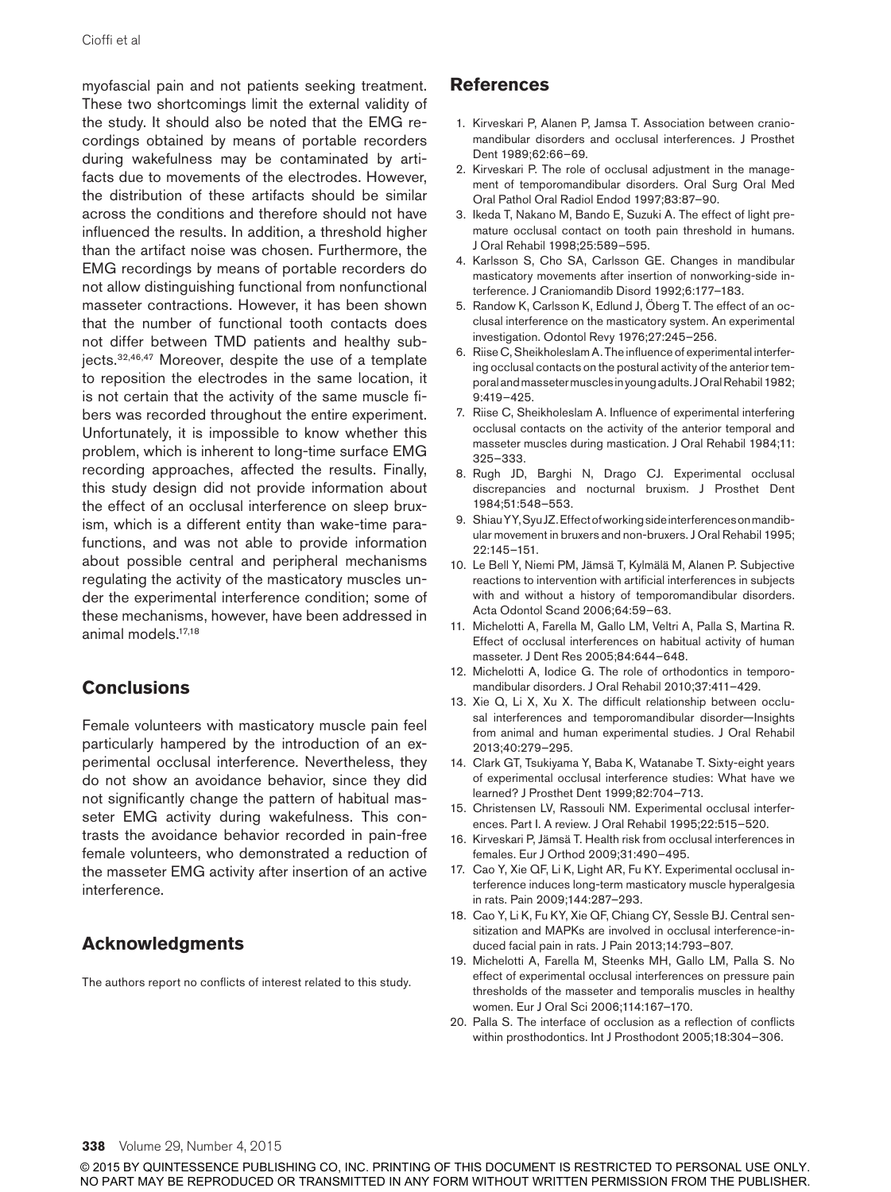myofascial pain and not patients seeking treatment. These two shortcomings limit the external validity of the study. It should also be noted that the EMG recordings obtained by means of portable recorders during wakefulness may be contaminated by artifacts due to movements of the electrodes. However, the distribution of these artifacts should be similar across the conditions and therefore should not have influenced the results. In addition, a threshold higher than the artifact noise was chosen. Furthermore, the EMG recordings by means of portable recorders do not allow distinguishing functional from nonfunctional masseter contractions. However, it has been shown that the number of functional tooth contacts does not differ between TMD patients and healthy subjects.32,46,47 Moreover, despite the use of a template to reposition the electrodes in the same location, it is not certain that the activity of the same muscle fibers was recorded throughout the entire experiment. Unfortunately, it is impossible to know whether this problem, which is inherent to long-time surface EMG recording approaches, affected the results. Finally, this study design did not provide information about the effect of an occlusal interference on sleep bruxism, which is a different entity than wake-time parafunctions, and was not able to provide information about possible central and peripheral mechanisms regulating the activity of the masticatory muscles under the experimental interference condition; some of these mechanisms, however, have been addressed in animal models.17,18

## **Conclusions**

Female volunteers with masticatory muscle pain feel particularly hampered by the introduction of an experimental occlusal interference. Nevertheless, they do not show an avoidance behavior, since they did not significantly change the pattern of habitual masseter EMG activity during wakefulness. This contrasts the avoidance behavior recorded in pain-free female volunteers, who demonstrated a reduction of the masseter EMG activity after insertion of an active interference.

# **Acknowledgments**

The authors report no conflicts of interest related to this study.

## **References**

- 1. Kirveskari P, Alanen P, Jamsa T. Association between craniomandibular disorders and occlusal interferences. J Prosthet Dent 1989;62:66–69.
- 2. Kirveskari P. The role of occlusal adjustment in the management of temporomandibular disorders. Oral Surg Oral Med Oral Pathol Oral Radiol Endod 1997;83:87–90.
- 3. Ikeda T, Nakano M, Bando E, Suzuki A. The effect of light premature occlusal contact on tooth pain threshold in humans. J Oral Rehabil 1998;25:589–595.
- 4. Karlsson S, Cho SA, Carlsson GE. Changes in mandibular masticatory movements after insertion of nonworking-side interference. J Craniomandib Disord 1992;6:177–183.
- 5. Randow K, Carlsson K, Edlund J, Öberg T. The effect of an occlusal interference on the masticatory system. An experimental investigation. Odontol Revy 1976;27:245–256.
- 6. Riise C, Sheikholeslam A. The influence of experimental interfering occlusal contacts on the postural activity of the anterior temporal and masseter muscles in young adults. J Oral Rehabil 1982; 9:419–425.
- 7. Riise C, Sheikholeslam A. Influence of experimental interfering occlusal contacts on the activity of the anterior temporal and masseter muscles during mastication. J Oral Rehabil 1984;11: 325–333.
- 8. Rugh JD, Barghi N, Drago CJ. Experimental occlusal discrepancies and nocturnal bruxism. J Prosthet Dent 1984;51:548–553.
- 9. Shiau YY, Syu JZ. Effect of working side interferences on mandibular movement in bruxers and non-bruxers. J Oral Rehabil 1995; 22:145–151.
- 10. Le Bell Y, Niemi PM, Jämsä T, Kylmälä M, Alanen P. Subjective reactions to intervention with artificial interferences in subjects with and without a history of temporomandibular disorders. Acta Odontol Scand 2006;64:59–63.
- 11. Michelotti A, Farella M, Gallo LM, Veltri A, Palla S, Martina R. Effect of occlusal interferences on habitual activity of human masseter. J Dent Res 2005;84:644–648.
- 12. Michelotti A, Iodice G. The role of orthodontics in temporomandibular disorders. J Oral Rehabil 2010;37:411–429.
- 13. Xie Q, Li X, Xu X. The difficult relationship between occlusal interferences and temporomandibular disorder—Insights from animal and human experimental studies. J Oral Rehabil 2013;40:279–295.
- 14. Clark GT, Tsukiyama Y, Baba K, Watanabe T. Sixty-eight years of experimental occlusal interference studies: What have we learned? J Prosthet Dent 1999;82:704–713.
- 15. Christensen LV, Rassouli NM. Experimental occlusal interferences. Part I. A review. J Oral Rehabil 1995;22:515–520.
- 16. Kirveskari P, Jämsä T. Health risk from occlusal interferences in females. Eur J Orthod 2009;31:490–495.
- 17. Cao Y, Xie QF, Li K, Light AR, Fu KY. Experimental occlusal interference induces long-term masticatory muscle hyperalgesia in rats. Pain 2009;144:287–293.
- 18. Cao Y, Li K, Fu KY, Xie QF, Chiang CY, Sessle BJ. Central sensitization and MAPKs are involved in occlusal interference-induced facial pain in rats. J Pain 2013;14:793–807.
- 19. Michelotti A, Farella M, Steenks MH, Gallo LM, Palla S. No effect of experimental occlusal interferences on pressure pain thresholds of the masseter and temporalis muscles in healthy women. Eur J Oral Sci 2006;114:167–170.
- 20. Palla S. The interface of occlusion as a reflection of conflicts within prosthodontics. Int J Prosthodont 2005;18:304–306.

**338** Volume 29, Number 4, 2015